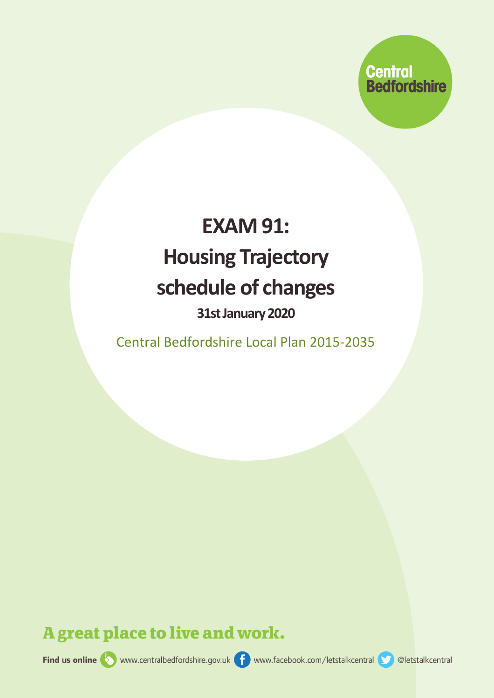

## **EXAM 91: Housing Trajectory schedule of changes**

## **31stJanuary2020**

Central Bedfordshire Local Plan 2015-2035

A great place to live and work.

Find us online www.centralbedfordshire.gov.uk for www.facebook.com/letstalkcentral colletstalkcentral

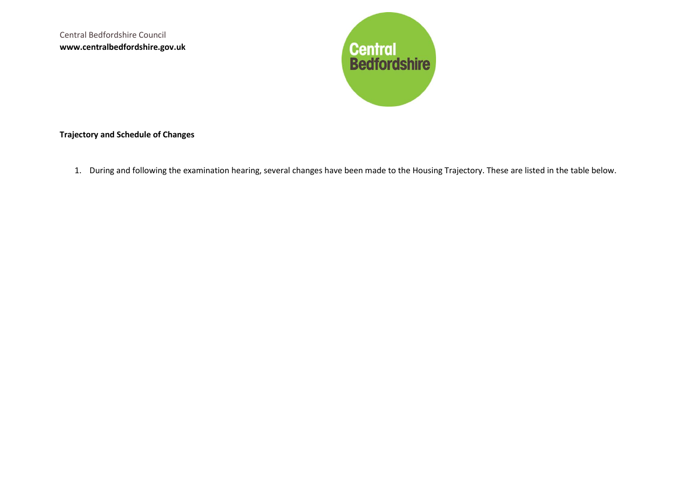Central Bedfordshire Council **www.centralbedfordshire.gov.uk**



## **Trajectory and Schedule of Changes**

1. During and following the examination hearing, several changes have been made to the Housing Trajectory. These are listed in the table below.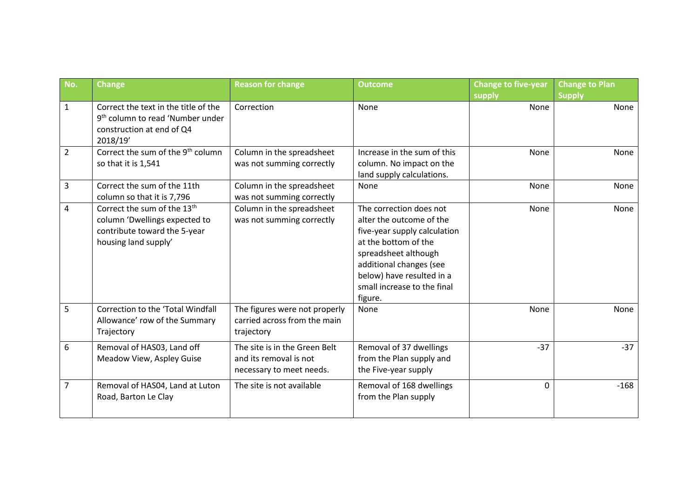| No.            | <b>Change</b>                                                                                                                    | <b>Reason for change</b>                                                            | <b>Outcome</b>                                                                                                                                                                                                                        | <b>Change to five-year</b> | <b>Change to Plan</b> |
|----------------|----------------------------------------------------------------------------------------------------------------------------------|-------------------------------------------------------------------------------------|---------------------------------------------------------------------------------------------------------------------------------------------------------------------------------------------------------------------------------------|----------------------------|-----------------------|
| $\mathbf{1}$   | Correct the text in the title of the<br>9 <sup>th</sup> column to read 'Number under<br>construction at end of Q4<br>2018/19'    | Correction                                                                          | None                                                                                                                                                                                                                                  | supply<br>None             | <b>Supply</b><br>None |
| $\overline{2}$ | Correct the sum of the 9 <sup>th</sup> column<br>so that it is 1,541                                                             | Column in the spreadsheet<br>was not summing correctly                              | Increase in the sum of this<br>column. No impact on the<br>land supply calculations.                                                                                                                                                  | None                       | None                  |
| 3              | Correct the sum of the 11th<br>column so that it is 7,796                                                                        | Column in the spreadsheet<br>was not summing correctly                              | None                                                                                                                                                                                                                                  | None                       | None                  |
| 4              | Correct the sum of the 13 <sup>th</sup><br>column 'Dwellings expected to<br>contribute toward the 5-year<br>housing land supply' | Column in the spreadsheet<br>was not summing correctly                              | The correction does not<br>alter the outcome of the<br>five-year supply calculation<br>at the bottom of the<br>spreadsheet although<br>additional changes (see<br>below) have resulted in a<br>small increase to the final<br>figure. | None                       | None                  |
| 5              | Correction to the 'Total Windfall<br>Allowance' row of the Summary<br>Trajectory                                                 | The figures were not properly<br>carried across from the main<br>trajectory         | None                                                                                                                                                                                                                                  | None                       | None                  |
| 6              | Removal of HAS03, Land off<br>Meadow View, Aspley Guise                                                                          | The site is in the Green Belt<br>and its removal is not<br>necessary to meet needs. | Removal of 37 dwellings<br>from the Plan supply and<br>the Five-year supply                                                                                                                                                           | $-37$                      | $-37$                 |
| $\overline{7}$ | Removal of HAS04, Land at Luton<br>Road, Barton Le Clay                                                                          | The site is not available                                                           | Removal of 168 dwellings<br>from the Plan supply                                                                                                                                                                                      | $\Omega$                   | $-168$                |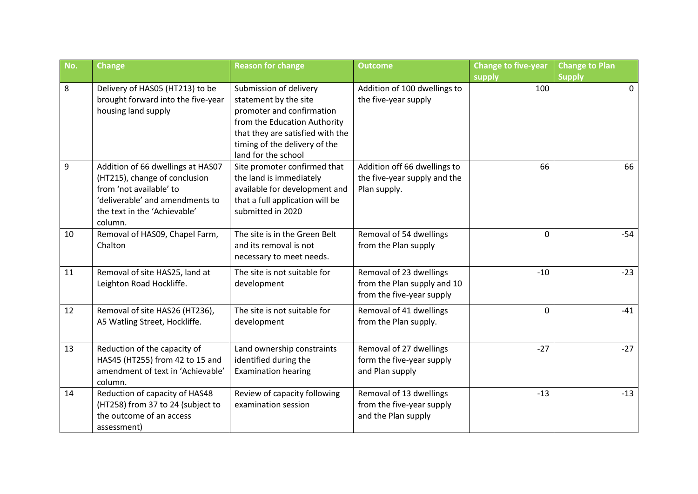| No. | <b>Change</b>                                                                                                                                                               | <b>Reason for change</b>                                                                                                                                                                                 | <b>Outcome</b>                                                                      | <b>Change to five-year</b> | <b>Change to Plan</b> |
|-----|-----------------------------------------------------------------------------------------------------------------------------------------------------------------------------|----------------------------------------------------------------------------------------------------------------------------------------------------------------------------------------------------------|-------------------------------------------------------------------------------------|----------------------------|-----------------------|
|     |                                                                                                                                                                             |                                                                                                                                                                                                          |                                                                                     | supply                     | <b>Supply</b>         |
| 8   | Delivery of HAS05 (HT213) to be<br>brought forward into the five-year<br>housing land supply                                                                                | Submission of delivery<br>statement by the site<br>promoter and confirmation<br>from the Education Authority<br>that they are satisfied with the<br>timing of the delivery of the<br>land for the school | Addition of 100 dwellings to<br>the five-year supply                                | 100                        | $\Omega$              |
| 9   | Addition of 66 dwellings at HAS07<br>(HT215), change of conclusion<br>from 'not available' to<br>'deliverable' and amendments to<br>the text in the 'Achievable'<br>column. | Site promoter confirmed that<br>the land is immediately<br>available for development and<br>that a full application will be<br>submitted in 2020                                                         | Addition off 66 dwellings to<br>the five-year supply and the<br>Plan supply.        | 66                         | 66                    |
| 10  | Removal of HAS09, Chapel Farm,<br>Chalton                                                                                                                                   | The site is in the Green Belt<br>and its removal is not<br>necessary to meet needs.                                                                                                                      | Removal of 54 dwellings<br>from the Plan supply                                     | $\Omega$                   | $-54$                 |
| 11  | Removal of site HAS25, land at<br>Leighton Road Hockliffe.                                                                                                                  | The site is not suitable for<br>development                                                                                                                                                              | Removal of 23 dwellings<br>from the Plan supply and 10<br>from the five-year supply | $-10$                      | $-23$                 |
| 12  | Removal of site HAS26 (HT236),<br>A5 Watling Street, Hockliffe.                                                                                                             | The site is not suitable for<br>development                                                                                                                                                              | Removal of 41 dwellings<br>from the Plan supply.                                    | 0                          | $-41$                 |
| 13  | Reduction of the capacity of<br>HAS45 (HT255) from 42 to 15 and<br>amendment of text in 'Achievable'<br>column.                                                             | Land ownership constraints<br>identified during the<br><b>Examination hearing</b>                                                                                                                        | Removal of 27 dwellings<br>form the five-year supply<br>and Plan supply             | $-27$                      | $-27$                 |
| 14  | Reduction of capacity of HAS48<br>(HT258) from 37 to 24 (subject to<br>the outcome of an access<br>assessment)                                                              | Review of capacity following<br>examination session                                                                                                                                                      | Removal of 13 dwellings<br>from the five-year supply<br>and the Plan supply         | $-13$                      | $-13$                 |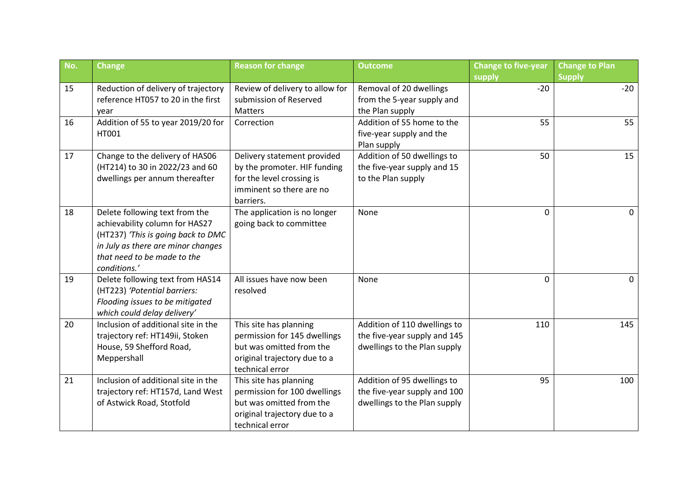| No. | <b>Change</b>                       | <b>Reason for change</b>                              | <b>Outcome</b>               | <b>Change to five-year</b> | <b>Change to Plan</b> |
|-----|-------------------------------------|-------------------------------------------------------|------------------------------|----------------------------|-----------------------|
|     |                                     |                                                       |                              | supply                     | <b>Supply</b>         |
| 15  | Reduction of delivery of trajectory | Review of delivery to allow for                       | Removal of 20 dwellings      | $-20$                      | $-20$                 |
|     | reference HT057 to 20 in the first  | submission of Reserved                                | from the 5-year supply and   |                            |                       |
|     | vear                                | <b>Matters</b>                                        | the Plan supply              |                            |                       |
| 16  | Addition of 55 to year 2019/20 for  | Correction                                            | Addition of 55 home to the   | 55                         | 55                    |
|     | HT001                               |                                                       | five-year supply and the     |                            |                       |
|     |                                     |                                                       | Plan supply                  |                            |                       |
| 17  | Change to the delivery of HAS06     | Delivery statement provided                           | Addition of 50 dwellings to  | 50                         | 15                    |
|     | (HT214) to 30 in 2022/23 and 60     | by the promoter. HIF funding                          | the five-year supply and 15  |                            |                       |
|     | dwellings per annum thereafter      | for the level crossing is<br>imminent so there are no | to the Plan supply           |                            |                       |
|     |                                     | barriers.                                             |                              |                            |                       |
| 18  | Delete following text from the      | The application is no longer                          | None                         | $\Omega$                   | $\mathbf{0}$          |
|     | achievability column for HAS27      | going back to committee                               |                              |                            |                       |
|     | (HT237) 'This is going back to DMC  |                                                       |                              |                            |                       |
|     | in July as there are minor changes  |                                                       |                              |                            |                       |
|     | that need to be made to the         |                                                       |                              |                            |                       |
|     | conditions.'                        |                                                       |                              |                            |                       |
| 19  | Delete following text from HAS14    | All issues have now been                              | None                         | $\Omega$                   | $\Omega$              |
|     | (HT223) 'Potential barriers:        | resolved                                              |                              |                            |                       |
|     | Flooding issues to be mitigated     |                                                       |                              |                            |                       |
|     | which could delay delivery'         |                                                       |                              |                            |                       |
| 20  | Inclusion of additional site in the | This site has planning                                | Addition of 110 dwellings to | 110                        | 145                   |
|     | trajectory ref: HT149ii, Stoken     | permission for 145 dwellings                          | the five-year supply and 145 |                            |                       |
|     | House, 59 Shefford Road,            | but was omitted from the                              | dwellings to the Plan supply |                            |                       |
|     | Meppershall                         | original trajectory due to a                          |                              |                            |                       |
|     |                                     | technical error                                       |                              |                            |                       |
| 21  | Inclusion of additional site in the | This site has planning                                | Addition of 95 dwellings to  | 95                         | 100                   |
|     | trajectory ref: HT157d, Land West   | permission for 100 dwellings                          | the five-year supply and 100 |                            |                       |
|     | of Astwick Road, Stotfold           | but was omitted from the                              | dwellings to the Plan supply |                            |                       |
|     |                                     | original trajectory due to a                          |                              |                            |                       |
|     |                                     | technical error                                       |                              |                            |                       |